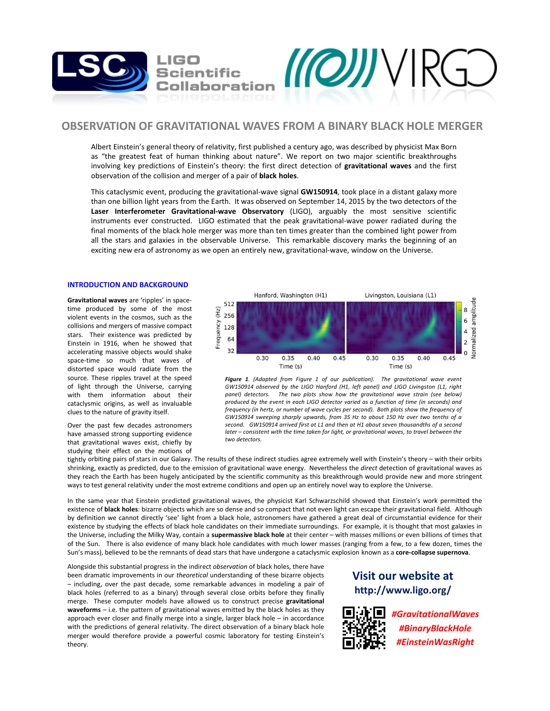

# **OBSERVATION OF GRAVITATIONAL WAVES FROM A BINARY BLACK HOLE MERGER**

Albert Einstein's general theory of relativity, first published a century ago, was described by physicist Max Born as "the greatest feat of human thinking about nature". We report on two major scientific breakthroughs involving key predictions of Einstein's theory: the first direct detection of **gravitational waves** and the first observation of the collision and merger of a pair of **black holes**.

This cataclysmic event, producing the gravitational-wave signal **GW150914**, took place in a distant galaxy more than one billion light years from the Earth. It was observed on September 14, 2015 by the two detectors of the **Laser Interferometer Gravitational-wave Observatory** (LIGO), arguably the most sensitive scientific instruments ever constructed. LIGO estimated that the peak gravitational-wave power radiated during the final moments of the black hole merger was more than ten times greater than the combined light power from all the stars and galaxies in the observable Universe. This remarkable discovery marks the beginning of an exciting new era of astronomy as we open an entirely new, gravitational-wave, window on the Universe.

# **INTRODUCTION AND BACKGROUND**

**Gravitational waves** are 'ripples' in spacetime produced by some of the most violent events in the cosmos, such as the collisions and mergers of massive compact stars. Their existence was predicted by Einstein in 1916, when he showed that accelerating massive objects would shake space-time so much that waves of distorted space would radiate from the source. These ripples travel at the speed of light through the Universe, carrying with them information about their cataclysmic origins, as well as invaluable clues to the nature of gravity itself.

Over the past few decades astronomers have amassed strong supporting evidence that gravitational waves exist, chiefly by studying their effect on the motions of





tightly orbiting pairs of stars in our Galaxy. The results of these indirect studies agree extremely well with Einstein's theory – with their orbits shrinking, exactly as predicted, due to the emission of gravitational wave energy. Nevertheless the *direct* detection of gravitational waves as they reach the Earth has been hugely anticipated by the scientific community as this breakthrough would provide new and more stringent ways to test general relativity under the most extreme conditions and open up an entirely novel way to explore the Universe.

In the same year that Einstein predicted gravitational waves, the physicist Karl Schwarzschild showed that Einstein's work permitted the existence of **black holes**: bizarre objects which are so dense and so compact that not even light can escape their gravitational field. Although by definition we cannot directly 'see' light from a black hole, astronomers have gathered a great deal of circumstantial evidence for their existence by studying the effects of black hole candidates on their immediate surroundings. For example, it is thought that most galaxies in the Universe, including the Milky Way, contain a **supermassive black hole** at their center – with masses millions or even billions of times that of the Sun. There is also evidence of many black hole candidates with much lower masses (ranging from a few, to a few dozen, times the Sun's mass), believed to be the remnants of dead stars that have undergone a cataclysmic explosion known as a **core-collapse supernova**.

Alongside this substantial progress in the indirect *observation* of black holes, there have been dramatic improvements in our *theoretical* understanding of these bizarre objects – including, over the past decade, some remarkable advances in modeling a pair of black holes (referred to as a binary) through several close orbits before they finally merge. These computer models have allowed us to construct precise **gravitational waveforms** – i.e. the pattern of gravitational waves emitted by the black holes as they approach ever closer and finally merge into a single, larger black hole – in accordance with the predictions of general relativity. The direct observation of a binary black hole merger would therefore provide a powerful cosmic laboratory for testing Einstein's theory.

# **Visit our website at http://www.ligo.org/**



*#GravitationalWaves #BinaryBlackHole #EinsteinWasRight*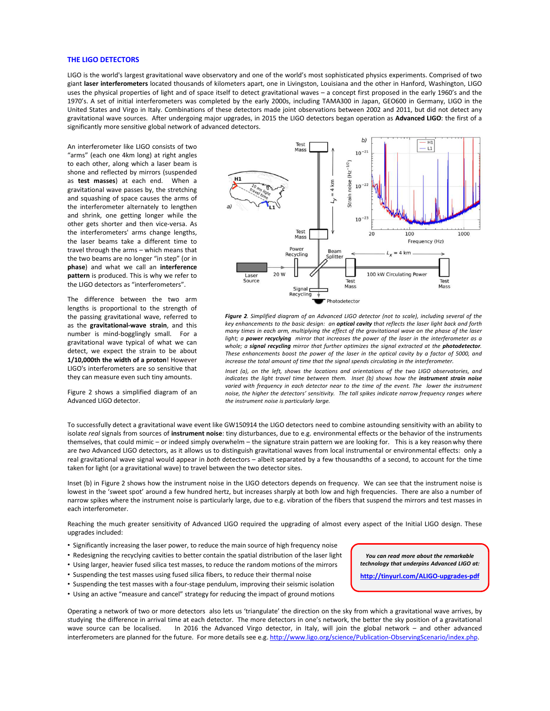# **THE LIGO DETECTORS**

LIGO is the world's largest gravitational wave observatory and one of the world's most sophisticated physics experiments. Comprised of two giant **laser interferometers** located thousands of kilometers apart, one in Livingston, Louisiana and the other in Hanford, Washington, LIGO uses the physical properties of light and of space itself to detect gravitational waves – a concept first proposed in the early 1960's and the 1970's. A set of initial interferometers was completed by the early 2000s, including TAMA300 in Japan, GEO600 in Germany, LIGO in the United States and Virgo in Italy. Combinations of these detectors made joint observations between 2002 and 2011, but did not detect any gravitational wave sources. After undergoing major upgrades, in 2015 the LIGO detectors began operation as **Advanced LIGO**: the first of a significantly more sensitive global network of advanced detectors.

An interferometer like LIGO consists of two "arms" (each one 4km long) at right angles to each other, along which a laser beam is shone and reflected by mirrors (suspended as **test masses**) at each end. When a gravitational wave passes by, the stretching and squashing of space causes the arms of the interferometer alternately to lengthen and shrink, one getting longer while the other gets shorter and then vice-versa. As the interferometers' arms change lengths, the laser beams take a different time to travel through the arms – which means that the two beams are no longer "in step" (or in **phase**) and what we call an **interference pattern** is produced. This is why we refer to the LIGO detectors as "interferometers".

The difference between the two arm lengths is proportional to the strength of the passing gravitational wave, referred to as the **gravitational-wave strain**, and this number is mind-bogglingly small. For a gravitational wave typical of what we can detect, we expect the strain to be about **1/10,000th the width of a proton**! However LIGO's interferometers are so sensitive that they can measure even such tiny amounts.

Figure 2 shows a simplified diagram of an Advanced LIGO detector.



*Figure 2. Simplified diagram of an Advanced LIGO detector (not to scale), including several of the key enhancements to the basic design: an optical cavity that reflects the laser light back and forth many times in each arm, multiplying the effect of the gravitational wave on the phase of the laser light; a power recyclying mirror that increases the power of the laser in the interferometer as a whole; a signal recycling mirror that further optimizes the signal extracted at the photodetector. These enhancements boost the power of the laser in the optical cavity by a factor of 5000, and increase the total amount of time that the signal spends circulating in the interferometer.*

*Inset (a), on the left, shows the locations and orientations of the two LIGO observatories, and indicates the light travel time between them. Inset (b) shows how the instrument strain noise varied with frequency in each detector near to the time of the event. The lower the instrument noise, the higher the detectors' sensitivity. The tall spikes indicate narrow frequency ranges where the instrument noise is particularly large.*

To successfully detect a gravitational wave event like GW150914 the LIGO detectors need to combine astounding sensitivity with an ability to isolate *real* signals from sources of **instrument noise**: tiny disturbances, due to e.g. environmental effects or the behavior of the instruments themselves, that could mimic – or indeed simply overwhelm – the signature strain pattern we are looking for. This is a key reason why there are *two* Advanced LIGO detectors, as it allows us to distinguish gravitational waves from local instrumental or environmental effects: only a real gravitational wave signal would appear in *both* detectors – albeit separated by a few thousandths of a second, to account for the time taken for light (or a gravitational wave) to travel between the two detector sites.

Inset (b) in Figure 2 shows how the instrument noise in the LIGO detectors depends on frequency. We can see that the instrument noise is lowest in the 'sweet spot' around a few hundred hertz, but increases sharply at both low and high frequencies. There are also a number of narrow spikes where the instrument noise is particularly large, due to e.g. vibration of the fibers that suspend the mirrors and test masses in each interferometer.

Reaching the much greater sensitivity of Advanced LIGO required the upgrading of almost every aspect of the Initial LIGO design. These upgrades included:

- Significantly increasing the laser power, to reduce the main source of high frequency noise
- Redesigning the recyclying cavities to better contain the spatial distribution of the laser light
- Using larger, heavier fused silica test masses, to reduce the random motions of the mirrors
- Suspending the test masses using fused silica fibers, to reduce their thermal noise
- Suspending the test masses with a four-stage pendulum, improving their seismic isolation
- Using an active "measure and cancel" strategy for reducing the impact of ground motions

Operating a network of two or more detectors also lets us 'triangulate' the direction on the sky from which a gravitational wave arrives, by studying the difference in arrival time at each detector. The more detectors in one's network, the better the sky position of a gravitational wave source can be localised. In 2016 the Advanced Virgo detector, in Italy, will join the global network – and other advanced interferometers are planned for the future. For more details see e.g. http://www.ligo.org/science/Publication-ObservingScenario/index.php.

*You can read more about the remarkable technology that underpins Advanced LIGO at:*

**http://tinyurl.com/ALIGO-upgrades-pdf**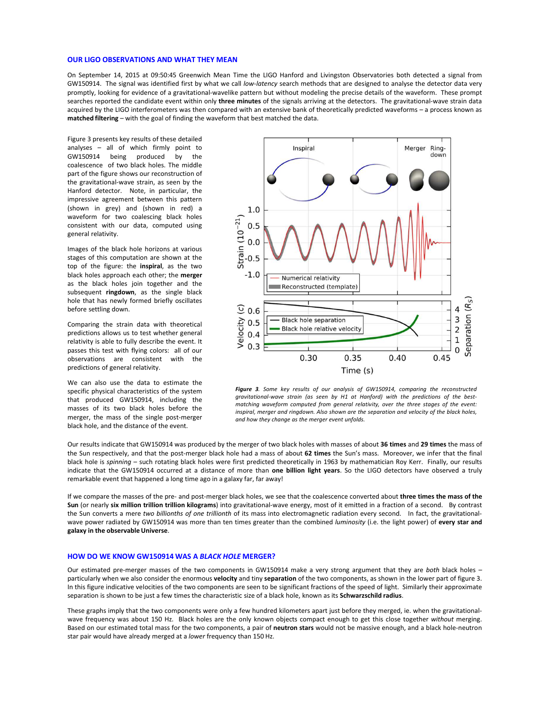# **OUR LIGO OBSERVATIONS AND WHAT THEY MEAN**

On September 14, 2015 at 09:50:45 Greenwich Mean Time the LIGO Hanford and Livingston Observatories both detected a signal from GW150914. The signal was identified first by what we call *low-latency* search methods that are designed to analyse the detector data very promptly, looking for evidence of a gravitational-wavelike pattern but without modeling the precise details of the waveform. These prompt searches reported the candidate event within only **three minutes** of the signals arriving at the detectors. The gravitational-wave strain data acquired by the LIGO interferometers was then compared with an extensive bank of theoretically predicted waveforms – a process known as **matched filtering** – with the goal of finding the waveform that best matched the data.

Figure 3 presents key results of these detailed analyses – all of which firmly point to GW150914 being produced by the coalescence of two black holes. The middle part of the figure shows our reconstruction of the gravitational-wave strain, as seen by the Hanford detector. Note, in particular, the impressive agreement between this pattern (shown in grey) and (shown in red) a waveform for two coalescing black holes consistent with our data, computed using general relativity.

Images of the black hole horizons at various stages of this computation are shown at the top of the figure: the **inspiral**, as the two black holes approach each other; the **merger** as the black holes join together and the subsequent **ringdown**, as the single black hole that has newly formed briefly oscillates before settling down.

Comparing the strain data with theoretical predictions allows us to test whether general relativity is able to fully describe the event. It passes this test with flying colors: all of our observations are consistent with the predictions of general relativity.

We can also use the data to estimate the specific physical characteristics of the system that produced GW150914, including the masses of its two black holes before the merger, the mass of the single post-merger black hole, and the distance of the event.



*Figure 3. Some key results of our analysis of GW150914, comparing the reconstructed gravitational-wave strain (as seen by H1 at Hanford) with the predictions of the bestmatching waveform computed from general relativity, over the three stages of the event: inspiral, merger and ringdown. Also shown are the separation and velocity of the black holes, and how they change as the merger event unfolds.*

Our results indicate that GW150914 was produced by the merger of two black holes with masses of about **36 times** and **29 times** the mass of the Sun respectively, and that the post-merger black hole had a mass of about **62 times** the Sun's mass. Moreover, we infer that the final black hole is *spinning* – such rotating black holes were first predicted theoretically in 1963 by mathematician Roy Kerr. Finally, our results indicate that the GW150914 occurred at a distance of more than **one billion light years**. So the LIGO detectors have observed a truly remarkable event that happened a long time ago in a galaxy far, far away!

If we compare the masses of the pre- and post-merger black holes, we see that the coalescence converted about **three times the mass of the Sun** (or nearly **six million trillion trillion kilograms**) into gravitational-wave energy, most of it emitted in a fraction of a second. By contrast the Sun converts a mere *two billionths of one trillionth* of its mass into electromagnetic radiation every second. In fact, the gravitationalwave power radiated by GW150914 was more than ten times greater than the combined *luminosity* (i.e. the light power) of every star and **galaxy in the observable Universe**.

#### **HOW DO WE KNOW GW150914 WAS A** *BLACK HOLE* **MERGER?**

Our estimated pre-merger masses of the two components in GW150914 make a very strong argument that they are *both* black holes – particularly when we also consider the enormous **velocity** and tiny **separation** of the two components, as shown in the lower part of figure 3. In this figure indicative velocities of the two components are seen to be significant fractions of the speed of light. Similarly their approximate separation is shown to be just a few times the characteristic size of a black hole, known as its **Schwarzschild radius**.

These graphs imply that the two components were only a few hundred kilometers apart just before they merged, ie. when the gravitationalwave frequency was about 150 Hz. Black holes are the only known objects compact enough to get this close together *without* merging. Based on our estimated total mass for the two components, a pair of **neutron stars** would not be massive enough, and a black hole-neutron star pair would have already merged at a *lower* frequency than 150 Hz.